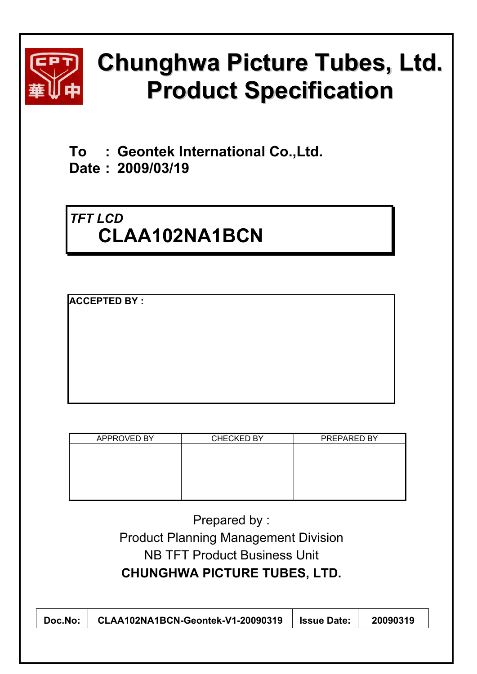

# **Chunghwa Picture Tubes, Ltd. Product Specification**

**To : Geontek International Co.,Ltd.** 

**Date : 2009/03/19** 

# *TFT LCD*  **CLAA102NA1BCN**

**ACCEPTED BY :** 

| APPROVED BY | CHECKED BY | PREPARED BY |
|-------------|------------|-------------|
|             |            |             |
|             |            |             |
|             |            |             |
|             |            |             |
|             |            |             |
|             |            |             |

Prepared by : Product Planning Management Division NB TFT Product Business Unit **CHUNGHWA PICTURE TUBES, LTD.** 

| CLAA102NA1BCN-Geontek-V1-20090319<br>20090319<br><b>Same Date:</b><br>Doc.No: |
|-------------------------------------------------------------------------------|
|-------------------------------------------------------------------------------|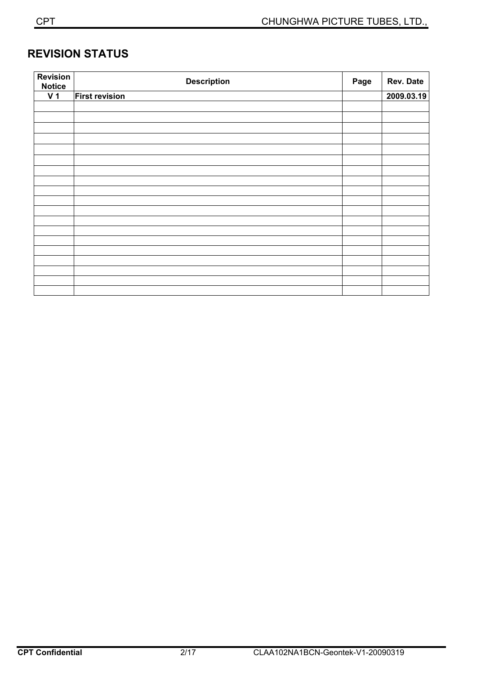# **REVISION STATUS**

| <b>Revision</b><br><b>Notice</b> | <b>Description</b>    | Page | Rev. Date  |
|----------------------------------|-----------------------|------|------------|
| V <sub>1</sub>                   | <b>First revision</b> |      | 2009.03.19 |
|                                  |                       |      |            |
|                                  |                       |      |            |
|                                  |                       |      |            |
|                                  |                       |      |            |
|                                  |                       |      |            |
|                                  |                       |      |            |
|                                  |                       |      |            |
|                                  |                       |      |            |
|                                  |                       |      |            |
|                                  |                       |      |            |
|                                  |                       |      |            |
|                                  |                       |      |            |
|                                  |                       |      |            |
|                                  |                       |      |            |
|                                  |                       |      |            |
|                                  |                       |      |            |
|                                  |                       |      |            |
|                                  |                       |      |            |
|                                  |                       |      |            |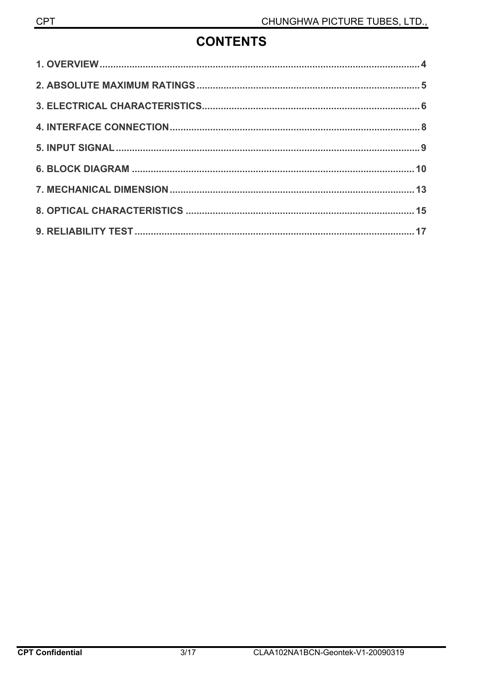# **CONTENTS**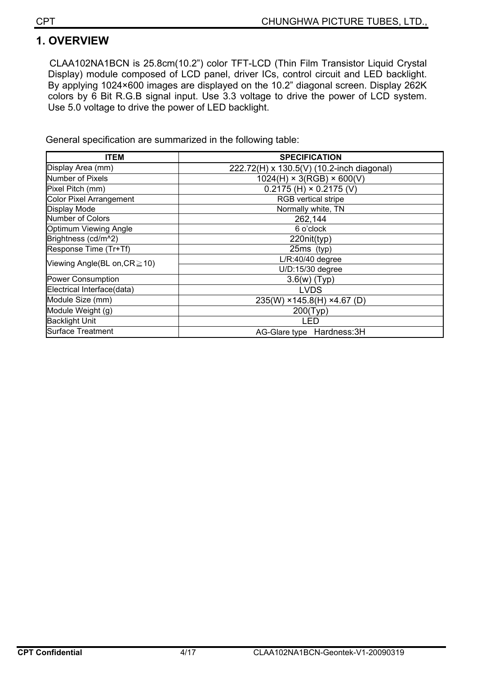# **1. OVERVIEW**

CLAA102NA1BCN is 25.8cm(10.2") color TFT-LCD (Thin Film Transistor Liquid Crystal Display) module composed of LCD panel, driver ICs, control circuit and LED backlight. By applying 1024×600 images are displayed on the 10.2" diagonal screen. Display 262K colors by 6 Bit R.G.B signal input. Use 3.3 voltage to drive the power of LCD system. Use 5.0 voltage to drive the power of LED backlight.

General specification are summarized in the following table:

| <b>ITEM</b>                    | <b>SPECIFICATION</b>                      |
|--------------------------------|-------------------------------------------|
| Display Area (mm)              | 222.72(H) x 130.5(V) (10.2-inch diagonal) |
| <b>Number of Pixels</b>        | $1024(H) \times 3(RGB) \times 600(V)$     |
| Pixel Pitch (mm)               | $0.2175$ (H) $\times$ 0.2175 (V)          |
| <b>Color Pixel Arrangement</b> | <b>RGB</b> vertical stripe                |
| Display Mode                   | Normally white, TN                        |
| Number of Colors               | 262,144                                   |
| Optimum Viewing Angle          | 6 o'clock                                 |
| Brightness (cd/m^2)            | 220nit(typ)                               |
| Response Time (Tr+Tf)          | $25ms$ (typ)                              |
| Viewing Angle(BL on, CR ≥ 10)  | $L/R:40/40$ degree                        |
|                                | U/D:15/30 degree                          |
| <b>Power Consumption</b>       | $3.6(w)$ (Typ)                            |
| Electrical Interface(data)     | <b>LVDS</b>                               |
| Module Size (mm)               | 235(W) ×145.8(H) ×4.67(D)                 |
| Module Weight (g)              | 200(Typ)                                  |
| <b>Backlight Unit</b>          | LED                                       |
| <b>Surface Treatment</b>       | AG-Glare type Hardness: 3H                |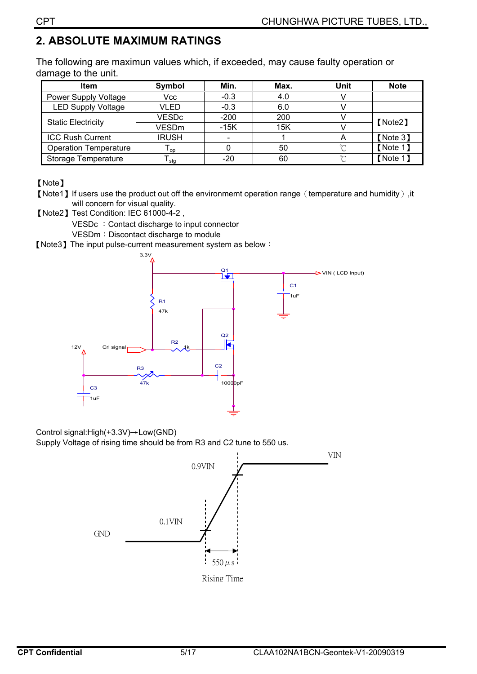# **2. ABSOLUTE MAXIMUM RATINGS**

The following are maximun values which, if exceeded, may cause faulty operation or damage to the unit.

| <b>Item</b>                  | Symbol       | Min.   | Max. | Unit   | <b>Note</b> |  |
|------------------------------|--------------|--------|------|--------|-------------|--|
| Power Supply Voltage         | Vcc          | $-0.3$ | 4.0  |        |             |  |
| <b>LED Supply Voltage</b>    | VLED         | $-0.3$ | 6.0  |        |             |  |
| <b>Static Electricity</b>    | <b>VESDc</b> | $-200$ | 200  |        | [Note2]     |  |
|                              | <b>VESDm</b> | $-15K$ | 15K  |        |             |  |
| <b>ICC Rush Current</b>      | <b>IRUSH</b> |        |      |        | [Note 3]    |  |
| <b>Operation Temperature</b> | l op l       |        | 50   | $\sim$ | [Note 1]    |  |
| Storage Temperature          | stq          | -20    | 60   | $\sim$ | [Note 1]    |  |

[Note]

- [Note1] If users use the product out off the environmemt operation range (temperature and humidity), it will concern for visual quality.
- [Note2] Test Condition: IEC 61000-4-2,

VESDc : Contact discharge to input connector

VESDm: Discontact discharge to module

[Note3] The input pulse-current measurement system as below:



Control signal: $High(+3.3V) \rightarrow Low(GND)$ 

Supply Voltage of rising time should be from R3 and C2 tune to 550 us.

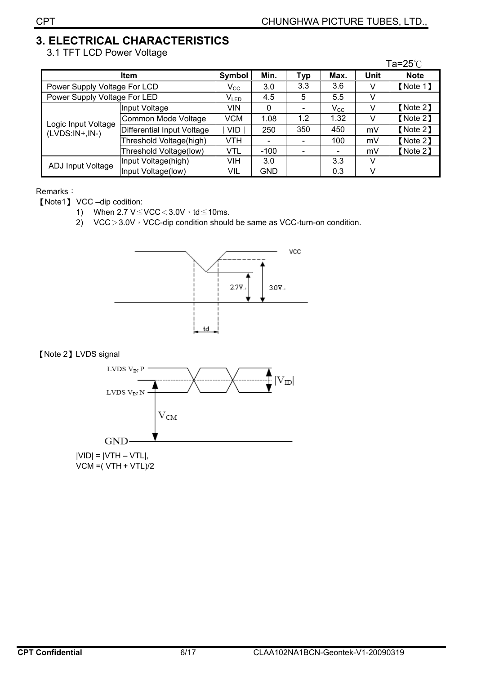$\sim$   $\sim$   $\sim$ 

# 3. ELECTRICAL CHARACTERISTICS

3.1 TFT LCD Power Voltage

|                                         |                            |              |            |            |              |      | l a=25℃     |
|-----------------------------------------|----------------------------|--------------|------------|------------|--------------|------|-------------|
|                                         | <b>Item</b>                | Symbol       | Min.       | <b>Typ</b> | Max.         | Unit | <b>Note</b> |
| Power Supply Voltage For LCD            |                            | $V_{\rm CC}$ | 3.0        | 3.3        | 3.6          | v    | [Note 1]    |
| Power Supply Voltage For LED            | $V_{LED}$                  | 4.5          | 5          | 5.5        | V            |      |             |
| Logic Input Voltage<br>$(LVDS:IN+,IN-)$ | Input Voltage              | VIN          | 0          |            | $V_{\rm CC}$ | V    | [Note 2]    |
|                                         | Common Mode Voltage        | <b>VCM</b>   | 1.08       | 1.2        | 1.32         | v    | [Note 2]    |
|                                         | Differential Input Voltage | <b>VID</b>   | 250        | 350        | 450          | mV   | [Note 2]    |
|                                         | Threshold Voltage(high)    | <b>VTH</b>   |            |            | 100          | mV   | [Note 2]    |
|                                         | Threshold Voltage(low)     | <b>VTL</b>   | $-100$     |            |              | mV   | [Note 2]    |
|                                         | Input Voltage(high)        | VIH          | 3.0        |            | 3.3          | v    |             |
| ADJ Input Voltage                       | Input Voltage(low)         | VIL          | <b>GND</b> |            | 0.3          | v    |             |

#### Remarks:

[Note1] VCC-dip codition:

- 1) When  $2.7 \text{ V} \leq \text{VCC} < 3.0 \text{V} \cdot \text{td} \leq 10 \text{ms}.$
- 2)  $VCC > 3.0V \cdot VCC$ -dip condition should be same as VCC-turn-on condition.



#### [Note 2] LVDS signal

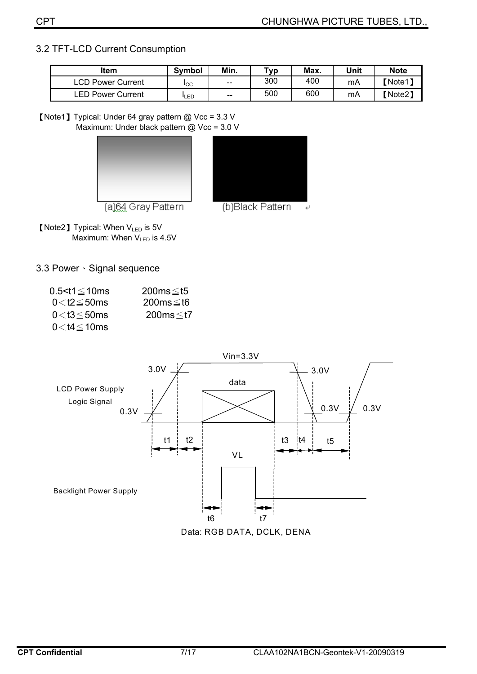#### 3.2 TFT-LCD Current Consumption

| <b>Item</b>       | <b>Symbol</b> | Min.  | тур | Max. | Unit | <b>Note</b> |
|-------------------|---------------|-------|-----|------|------|-------------|
| LCD Power Current | <b>I</b> CC   | $- -$ | 300 | 400  | mA   | Note1]      |
| LED Power Current | <b>LED</b>    | $- -$ | 500 | 600  | mA   | Note2)      |

[Note1] Typical: Under 64 gray pattern @ Vcc = 3.3 V Maximum: Under black pattern @ Vcc = 3.0 V





(a)64 Gray Pattern

[Note2] Typical: When V<sub>LED</sub> is 5V Maximum: When  $V_{LED}$  is 4.5V

3.3 Power Signal sequence

| $0.5 < t1 \leq 10$ ms        | $200ms \leq t5$ |
|------------------------------|-----------------|
| $0<$ t2 $\leq$ 50ms          | $200ms \leq t6$ |
| $0<$ t $3\leq$ 50 ${\sf ms}$ | 200ms≤t7        |
| $0<$ t4 $\leq$ 10ms          |                 |

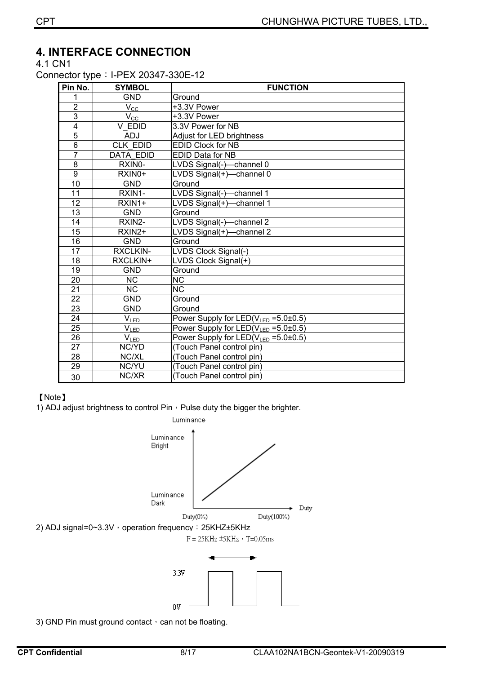#### **4. INTERFACE CONNECTION**

4.1 CN1

Connector type: I-PEX 20347-330E-12

| Pin No.                 | <b>SYMBOL</b>                | <b>FUNCTION</b>                                  |
|-------------------------|------------------------------|--------------------------------------------------|
| 1                       | <b>GND</b>                   | Ground                                           |
| $\overline{2}$          | $V_{\rm CC}$                 | +3.3V Power                                      |
| $\overline{3}$          | $V_{\underline{CC}}$         | +3.3V Power                                      |
| $\overline{\mathbf{4}}$ | V EDID                       | 3.3V Power for NB                                |
| 5                       | <b>ADJ</b>                   | Adjust for LED brightness                        |
| 6                       | <b>CLK EDID</b>              | <b>EDID Clock for NB</b>                         |
| $\overline{7}$          | <b>DATA EDID</b>             | EDID Data for NB                                 |
| 8                       | RXIN0-                       | LVDS Signal(-)-channel 0                         |
| 9                       | RXIN0+                       | LVDS Signal(+)-channel 0                         |
| 10                      | <b>GND</b>                   | Ground                                           |
| 11                      | RXIN1-                       | LVDS Signal(-)-channel 1                         |
| $\overline{12}$         | RXIN <sub>1+</sub>           | LVDS Signal(+)-channel 1                         |
| $\overline{13}$         | <b>GND</b>                   | Ground                                           |
| 14                      | RXIN2-                       | LVDS Signal(-)-channel 2                         |
| $\overline{15}$         | RXIN2+                       | LVDS Signal( $+$ )-channel 2                     |
| 16                      | <b>GND</b>                   | Ground                                           |
| 17                      | <b>RXCLKIN-</b>              | LVDS Clock Signal(-)                             |
| 18                      | RXCLKIN+                     | LVDS Clock Signal(+)                             |
| $\overline{19}$         | <b>GND</b>                   | Ground                                           |
| 20                      | <b>NC</b>                    | <b>NC</b>                                        |
| $\overline{21}$         | $\overline{\text{NC}}$       | $\overline{\text{NC}}$                           |
| $\overline{22}$         | <b>GND</b>                   | Ground                                           |
| $\overline{23}$         | <b>GND</b>                   | Ground                                           |
| $\overline{24}$         | $V_{LED}$                    | Power Supply for LED(V <sub>LED</sub> = 5.0±0.5) |
| 25                      | $V_{\underline{\text{LED}}}$ | Power Supply for $LED(V_{LED} = 5.0 \pm 0.5)$    |
| $\overline{26}$         | $V_{LED}$                    | Power Supply for LED(V <sub>LED</sub> = 5.0±0.5) |
| $\overline{27}$         | NC/YD                        | (Touch Panel control pin)                        |
| 28                      | NC/XL                        | (Touch Panel control pin)                        |
| 29                      | NC/YU                        | (Touch Panel control pin)                        |
| 30                      | NC/XR                        | (Touch Panel control pin)                        |

#### [Note]

1) ADJ adjust brightness to control Pin  $\cdot$  Pulse duty the bigger the brighter.



3) GND Pin must ground contact, can not be floating.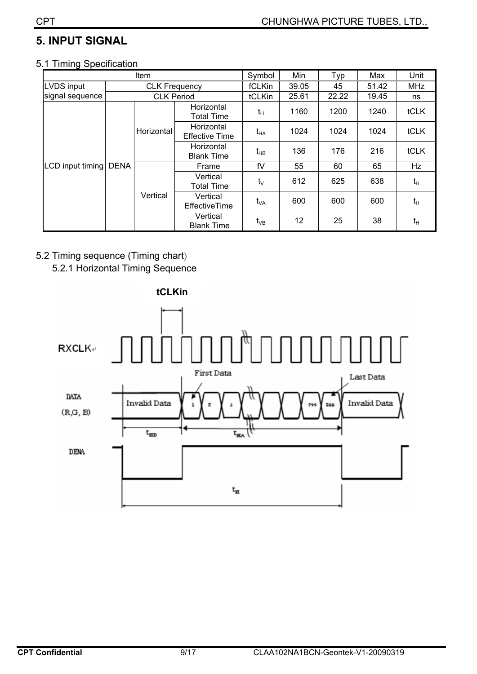# **5. INPUT SIGNAL**

#### 5.1 Timing Specification

|                   |             | Item                 |                                     | Symbol     | Min   | Typ   | Max   | Unit       |
|-------------------|-------------|----------------------|-------------------------------------|------------|-------|-------|-------|------------|
| <b>LVDS input</b> |             | <b>CLK Frequency</b> |                                     | fCLKin     | 39.05 | 45    | 51.42 | <b>MHz</b> |
| signal sequence   |             | <b>CLK Period</b>    |                                     | tCLKin     | 25.61 | 22.22 | 19.45 | ns         |
|                   |             |                      | Horizontal<br><b>Total Time</b>     | $t_H$      | 1160  | 1200  | 1240  | tCLK       |
|                   | <b>DENA</b> | Horizontal           | Horizontal<br><b>Effective Time</b> | $t_{HA}$   | 1024  | 1024  | 1024  | tCLK       |
|                   |             |                      | Horizontal<br><b>Blank Time</b>     | $t_{HB}$   | 136   | 176   | 216   | tCLK       |
| LCD input timing  |             | Vertical             | Frame                               | fV         | 55    | 60    | 65    | Hz         |
|                   |             |                      | Vertical<br><b>Total Time</b>       | $t_{\vee}$ | 612   | 625   | 638   | $t_H$      |
|                   |             |                      | Vertical<br><b>EffectiveTime</b>    | $t_{VA}$   | 600   | 600   | 600   | $t_H$      |
|                   |             |                      | Vertical<br><b>Blank Time</b>       | $t_{VB}$   | 12    | 25    | 38    | $t_H$      |

#### 5.2 Timing sequence (Timing chart)

5.2.1 Horizontal Timing Sequence

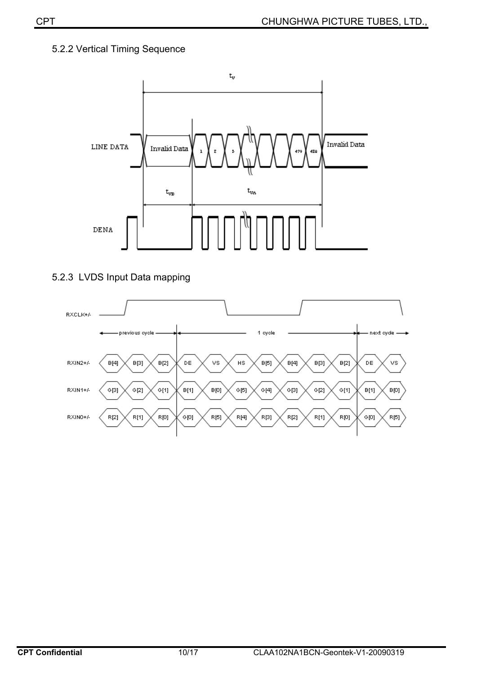#### 5.2.2 Vertical Timing Sequence



#### 5.2.3 LVDS Input Data mapping

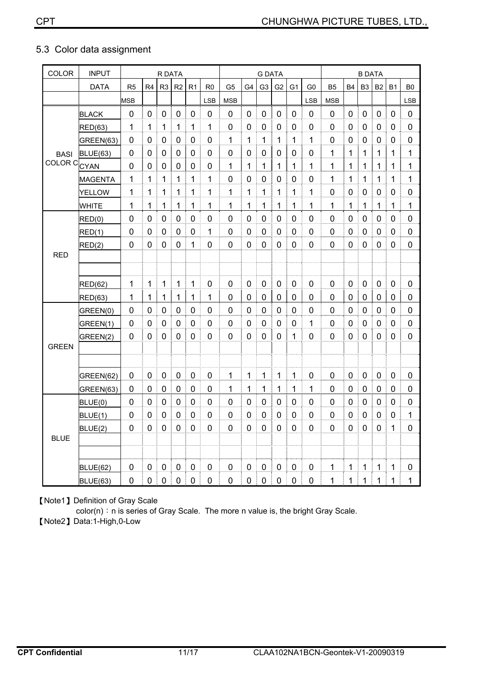#### 5.3 Color data assignment

| <b>COLOR</b>       | <b>INPUT</b>    | R DATA           |                |                |             |                  | <b>G DATA</b>  |                |             |                |                |                | <b>B DATA</b>  |                |             |                |              |                |                |
|--------------------|-----------------|------------------|----------------|----------------|-------------|------------------|----------------|----------------|-------------|----------------|----------------|----------------|----------------|----------------|-------------|----------------|--------------|----------------|----------------|
|                    | <b>DATA</b>     | R <sub>5</sub>   | R <sub>4</sub> | R <sub>3</sub> | R2          | R1               | R <sub>0</sub> | G <sub>5</sub> | G4          | G <sub>3</sub> | G <sub>2</sub> | G <sub>1</sub> | G <sub>0</sub> | B <sub>5</sub> | <b>B4</b>   | B <sub>3</sub> | <b>B2</b>    | <b>B1</b>      | B <sub>0</sub> |
|                    |                 | <b>MSB</b>       |                |                |             |                  | <b>LSB</b>     | <b>MSB</b>     |             |                |                |                | LSB            | <b>MSB</b>     |             |                |              |                | <b>LSB</b>     |
|                    | <b>BLACK</b>    | 0                | 0              | 0              | $\mathbf 0$ | $\mathbf 0$      | 0              | 0              | 0           | 0              | 0              | $\mathbf 0$    | 0              | $\mathbf 0$    | 0           | 0              | $\mathbf 0$  | $\mathbf 0$    | $\mathbf 0$    |
|                    | <b>RED(63)</b>  | 1                | 1              | 1              | 1           | 1                | 1              | 0              | 0           | 0              | 0              | 0              | 0              | 0              | 0           | 0              | 0            | 0              | 0              |
|                    | GREEN(63)       | $\mathbf 0$      | $\mathbf 0$    | 0              | 0           | 0                | $\overline{0}$ | 1              | 1           | 1              | 1              | 1              | 1              | $\overline{0}$ | 0           | $\pmb{0}$      | 0            | $\mathbf 0$    | $\mathbf 0$    |
| <b>BASI</b>        | <b>BLUE(63)</b> | 0                | 0              | 0              | 0           | $\pmb{0}$        | 0              | 0              | 0           | $\mathbf 0$    | 0              | 0              | 0              | 1              | 1           | 1              | 1            | 1              | 1              |
| COLOR <sub>C</sub> | <b>CYAN</b>     | 0                | 0              | 0              | 0           | 0                | 0              | 1              | 1           | 1              | 1              | 1              | 1              | 1              | 1           | 1              | 1            | 1              | 1              |
|                    | <b>MAGENTA</b>  | 1                | 1              | 1              | 1           | 1                | 1              | $\mathbf 0$    | 0           | $\mathbf 0$    | 0              | 0              | 0              | 1              | 1           | 1              | 1            | 1              | 1              |
|                    | <b>YELLOW</b>   | 1                | 1              | 1              | 1           | 1                | 1              | 1              | 1           | 1              | 1              | 1              | 1              | 0              | $\mathbf 0$ | $\pmb{0}$      | 0            | 0              | $\mathbf 0$    |
|                    | <b>WHITE</b>    | 1                | 1              | $\mathbf{1}$   | 1           | 1                | 1              | 1              | 1           | 1              | 1              | 1              | 1              | 1              | 1           | 1              | 1            | 1              | 1              |
|                    | RED(0)          | 0                | 0              | 0              | 0           | 0                | 0              | 0              | 0           | 0              | 0              | 0              | 0              | 0              | 0           | 0              | 0            | 0              | 0              |
|                    | RED(1)          | 0                | 0              | 0              | 0           | 0                | 1              | $\overline{0}$ | $\mathbf 0$ | $\mathbf 0$    | $\mathbf 0$    | 0              | 0              | $\overline{0}$ | 0           | 0              | 0            | 0              | $\mathbf 0$    |
|                    | RED(2)          | $\mathbf 0$      | 0              | 0              | 0           | 1                | $\mathbf 0$    | 0              | 0           | $\mathbf 0$    | 0              | 0              | 0              | 0              | 0           | $\mathbf 0$    | 0            | $\mathbf 0$    | $\mathbf 0$    |
| <b>RED</b>         |                 |                  |                |                |             |                  |                |                |             |                |                |                |                |                |             |                |              |                |                |
|                    |                 |                  |                |                |             |                  |                |                |             |                |                |                |                |                |             |                |              |                |                |
|                    | <b>RED(62)</b>  | 1                | 1              | 1              | 1           | 1                | 0              | $\overline{0}$ | 0           | $\mathbf 0$    | 0              | 0              | 0              | $\overline{0}$ | 0           | $\pmb{0}$      | $\mathbf 0$  | $\mathbf 0$    | $\mathbf 0$    |
|                    | <b>RED(63)</b>  | 1                | 1              | $\mathbf{1}$   | 1           | $\mathbf 1$      | 1              | 0              | 0           | 0              | $\pmb{0}$      | 0              | 0              | 0              | 0           | $\mathbf 0$    | $\pmb{0}$    | 0              | $\mathbf 0$    |
|                    | GREEN(0)        | 0                | 0              | 0              | 0           | 0                | 0              | 0              | 0           | 0              | $\mathbf 0$    | 0              | 0              | $\overline{0}$ | 0           | 0              | 0            | 0              | $\mathbf 0$    |
|                    | GREEN(1)        | 0                | 0              | 0              | 0           | 0                | 0              | 0              | 0           | 0              | 0              | 0              | 1              | $\overline{0}$ | 0           | 0              | 0            | 0              | 0              |
|                    | GREEN(2)        | 0                | $\mathbf 0$    | 0              | 0           | 0                | $\overline{0}$ | 0              | $\mathbf 0$ | $\mathbf 0$    | $\mathbf 0$    | 1              | $\Omega$       | $\overline{0}$ | 0           | 0              | 0            | 0              | $\mathbf 0$    |
| <b>GREEN</b>       |                 |                  |                |                |             |                  |                |                |             |                |                |                |                |                |             |                |              |                |                |
|                    |                 |                  |                |                |             |                  |                |                |             |                |                |                |                |                |             |                |              |                |                |
|                    | GREEN(62)       | $\mathbf 0$      | 0              | 0              | 0           | 0                | $\overline{0}$ | 1              | 1           | 1              | $\mathbf{1}$   | 1              | 0              | $\overline{0}$ | 0           | $\mathbf 0$    | $\mathbf 0$  | $\overline{0}$ | $\pmb{0}$      |
|                    | GREEN(63)       | $\mathbf 0$      | 0              | 0              | 0           | $\boldsymbol{0}$ | $\mathbf 0$    | 1              | 1           | 1              | 1              | 1              | 1              | $\overline{0}$ | 0           | $\pmb{0}$      | 0            | $\mathbf 0$    | $\mathbf 0$    |
|                    | BLUE(0)         | 0                | 0              | 0              | 0           | 0                | 0              | 0              | 0           | 0              | 0              | 0              | 0              | 0              | 0           | 0              | 0            | 0              | $\pmb{0}$      |
|                    | BLUE(1)         | 0                | 0              | 0              | 0           | 0                | 0              | 0              | 0           | 0              | 0              | 0              | 0              | 0              | 0           | 0              | 0            | $\mathbf 0$    | 1              |
|                    | BLUE(2)         | $\boldsymbol{0}$ | $\pmb{0}$      | $\pmb{0}$      | $\pmb{0}$   | $\pmb{0}$        | $\pmb{0}$      | 0              | $\pmb{0}$   | $\pmb{0}$      | $\mathbf 0$    | $\pmb{0}$      | 0              | $\mathbf 0$    | $\pmb{0}$   | $\pmb{0}$      | $\pmb{0}$    | 1              | 0              |
| <b>BLUE</b>        |                 |                  |                |                |             |                  |                |                |             |                |                |                |                |                |             |                |              |                |                |
|                    |                 |                  |                |                |             |                  |                |                |             |                |                |                |                |                |             |                |              |                |                |
|                    | BLUE(62)        | $\pmb{0}$        | $\pmb{0}$      | 0              | $\pmb{0}$   | $\pmb{0}$        | $\pmb{0}$      | $\pmb{0}$      | $\pmb{0}$   | $\pmb{0}$      | $\pmb{0}$      | $\pmb{0}$      | 0              | $\mathbf 1$    | $\mathbf 1$ | $\mathbf{1}$   | $\mathbf{1}$ | $\mathbf{1}$   | $\pmb{0}$      |
|                    | BLUE(63)        | $\pmb{0}$        | $\pmb{0}$      | 0              | 0           | $\pmb{0}$        | $\pmb{0}$      | $\pmb{0}$      | $\pmb{0}$   | $\mathbf 0$    | $\pmb{0}$      | $\pmb{0}$      | 0              | 1              | 1           | $\mathbf 1$    | 1            | $\mathbf 1$    | 1              |

[Note1] Definition of Gray Scale

color(n): n is series of Gray Scale. The more n value is, the bright Gray Scale.

[Note2] Data:1-High,0-Low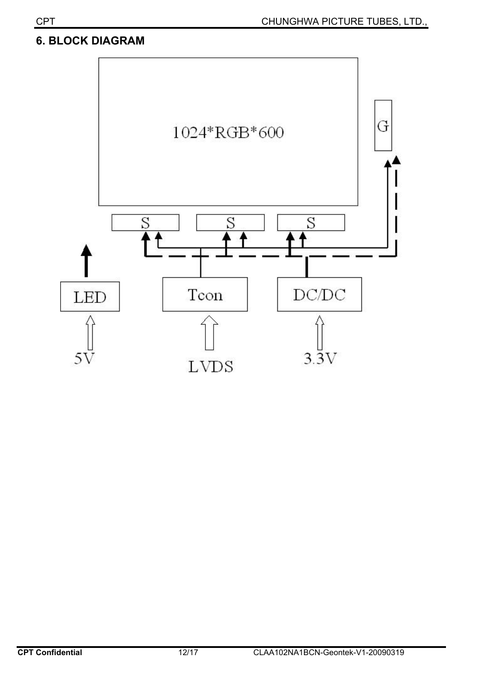### **6. BLOCK DIAGRAM**

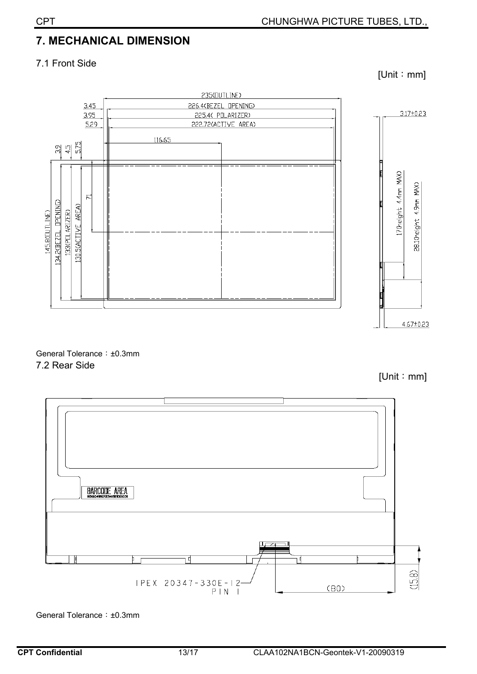# **7. MECHANICAL DIMENSION**

#### 7.1 Front Side



General Tolerance: ±0.3mm 7.2 Rear Side

 $[Unit : mm]$ 

 $[Unit : mm]$ 



General Tolerance: ±0.3mm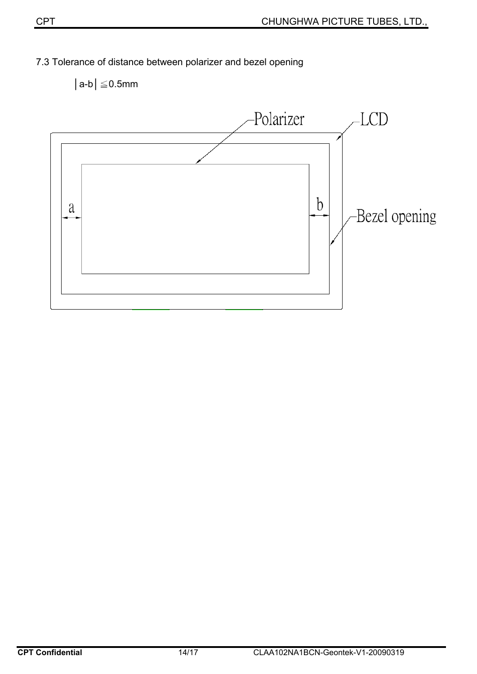



## 7.3 Tolerance of distance between polarizer and bezel opening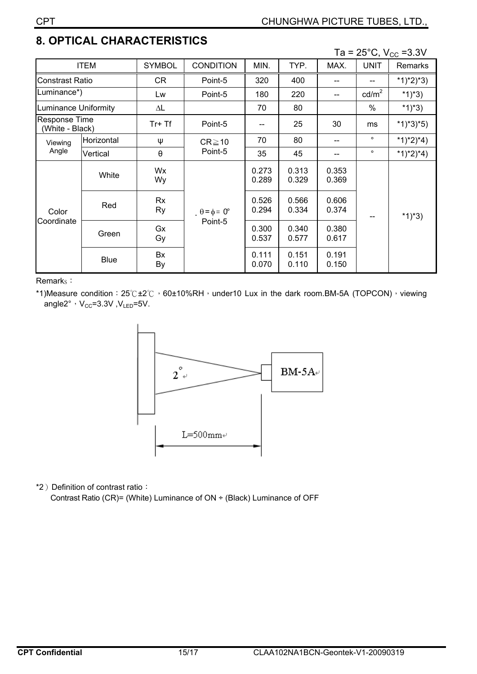# **8. OPTICAL CHARACTERISTICS**

Ta =  $25^{\circ}$ C, V<sub>cc</sub> = 3.3V

|                                  |             |                       |                                        |                |                |                | - , , , , <u>, ,</u> |                |
|----------------------------------|-------------|-----------------------|----------------------------------------|----------------|----------------|----------------|----------------------|----------------|
| <b>ITEM</b>                      |             | <b>SYMBOL</b>         | <b>CONDITION</b>                       | MIN.           | TYP.           | MAX.           | <b>UNIT</b>          | <b>Remarks</b> |
| <b>Constrast Ratio</b>           |             | CR.                   | Point-5                                | 320            | 400            | --             | --                   | *1)*2)*3)      |
| Luminance*)                      |             | Lw                    | Point-5                                | 180            | 220            | --             | $\text{cd/m}^2$      | *1)*3)         |
| Luminance Uniformity             |             | ΔL                    |                                        | 70             | 80             |                | $\%$                 | *1)*3)         |
| Response Time<br>(White - Black) |             | $Tr+Tf$               | Point-5                                |                | 25             | 30             | ms                   | $*1)*3*5)$     |
| Viewing<br>Angle                 | Horizontal  | Ψ                     | $CR \ge 10$<br>Point-5                 | 70             | 80             |                | $\circ$              | *1)*2)*4)      |
|                                  | Vertical    | $\boldsymbol{\theta}$ |                                        | 35             | 45             | --             | $\circ$              | $*1)*2)*4)$    |
| Color<br>Coordinate              | White       | Wx<br>Wy              | $\theta = \phi = 0^{\circ}$<br>Point-5 | 0.273<br>0.289 | 0.313<br>0.329 | 0.353<br>0.369 |                      | *1)*3)         |
|                                  | Red         | Rx<br>Ry              |                                        | 0.526<br>0.294 | 0.566<br>0.334 | 0.606<br>0.374 |                      |                |
|                                  | Green       | Gx<br>Gy              |                                        | 0.300<br>0.537 | 0.340<br>0.577 | 0.380<br>0.617 |                      |                |
|                                  | <b>Blue</b> | Bx<br>By              |                                        | 0.111<br>0.070 | 0.151<br>0.110 | 0.191<br>0.150 |                      |                |

Remark<sub>s</sub>:

\*1)Measure condition: 25°C±2°C, 60±10%RH, under10 Lux in the dark room.BM-5A (TOPCON), viewing angle2°,  $V_{CC} = 3.3V$ ,  $V_{LED} = 5V$ .



\*2) Definition of contrast ratio:

Contrast Ratio (CR)= (White) Luminance of ON ÷ (Black) Luminance of OFF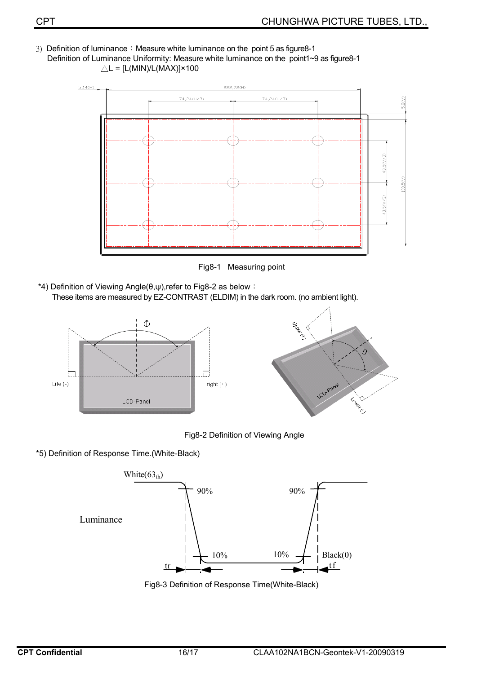3) Definition of luminance: Measure white luminance on the point 5 as figure8-1 Definition of Luminance Uniformity: Measure white luminance on the point1~9 as figure8-1  $\triangle L = [L(MIN)/L(MAX)] \times 100$ 



Fig8-1 Measuring point

\*4) Definition of Viewing Angle( $\theta, \psi$ ),refer to Fig8-2 as below : These items are measured by EZ-CONTRAST (ELDIM) in the dark room. (no ambient light).



Fig8-2 Definition of Viewing Angle

\*5) Definition of Response Time.(White-Black)



Fig8-3 Definition of Response Time(White-Black)